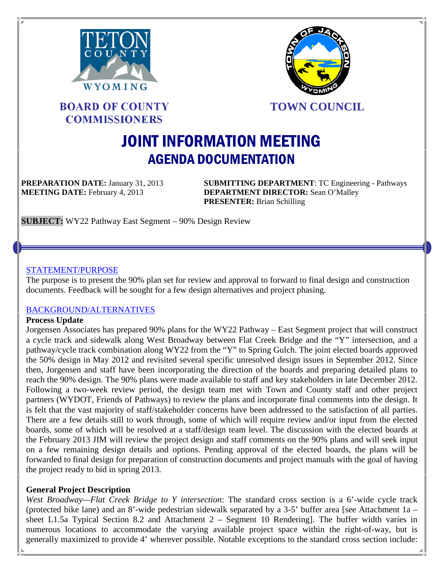



**BOARD OF COUNTY COMMISSIONERS** 

**TOWN COUNCIL**

# JOINT INFORMATION MEETING AGENDA DOCUMENTATION

**PREPARATION DATE:** January 31, 2013 **SUBMITTING DEPARTMENT**: TC Engineering - Pathways **MEETING DATE:** February 4, 2013 **DEPARTMENT DIRECTOR:** Sean O'Malley **PRESENTER:** Brian Schilling

**SUBJECT:** WY22 Pathway East Segment – 90% Design Review

#### STATEMENT/PURPOSE

The purpose is to present the 90% plan set for review and approval to forward to final design and construction documents. Feedback will be sought for a few design alternatives and project phasing.

## BACKGROUND/ALTERNATIVES

#### **Process Update**

Jorgensen Associates has prepared 90% plans for the WY22 Pathway – East Segment project that will construct a cycle track and sidewalk along West Broadway between Flat Creek Bridge and the "Y" intersection, and a pathway/cycle track combination along WY22 from the "Y" to Spring Gulch. The joint elected boards approved the 50% design in May 2012 and revisited several specific unresolved design issues in September 2012. Since then, Jorgensen and staff have been incorporating the direction of the boards and preparing detailed plans to reach the 90% design. The 90% plans were made available to staff and key stakeholders in late December 2012. Following a two-week review period, the design team met with Town and County staff and other project partners (WYDOT, Friends of Pathways) to review the plans and incorporate final comments into the design. It is felt that the vast majority of staff/stakeholder concerns have been addressed to the satisfaction of all parties. There are a few details still to work through, some of which will require review and/or input from the elected boards, some of which will be resolved at a staff/design team level. The discussion with the elected boards at the February 2013 JIM will review the project design and staff comments on the 90% plans and will seek input on a few remaining design details and options. Pending approval of the elected boards, the plans will be forwarded to final design for preparation of construction documents and project manuals with the goal of having the project ready to bid in spring 2013.

## **General Project Description**

*West Broadway—Flat Creek Bridge to Y intersection*: The standard cross section is a 6'-wide cycle track (protected bike lane) and an 8'-wide pedestrian sidewalk separated by a 3-5' buffer area [see Attachment 1a – sheet L1.5a Typical Section 8.2 and Attachment 2 – Segment 10 Rendering]. The buffer width varies in numerous locations to accommodate the varying available project space within the right-of-way, but is generally maximized to provide 4' wherever possible. Notable exceptions to the standard cross section include: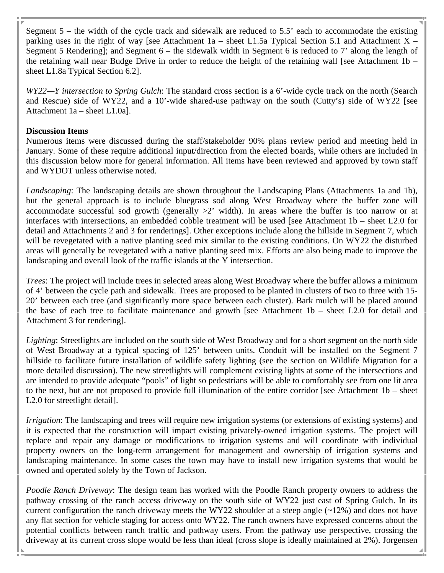Segment  $5$  – the width of the cycle track and sidewalk are reduced to  $5.5$ ' each to accommodate the existing parking uses in the right of way [see Attachment  $1a$  – sheet L1.5a Typical Section 5.1 and Attachment X – Segment 5 Rendering]; and Segment 6 – the sidewalk width in Segment 6 is reduced to 7' along the length of the retaining wall near Budge Drive in order to reduce the height of the retaining wall [see Attachment 1b – sheet L1.8a Typical Section 6.2].

*WY22—Y intersection to Spring Gulch*: The standard cross section is a 6'-wide cycle track on the north (Search and Rescue) side of WY22, and a 10'-wide shared-use pathway on the south (Cutty's) side of WY22 [see Attachment 1a – sheet L1.0a].

## **Discussion Items**

Numerous items were discussed during the staff/stakeholder 90% plans review period and meeting held in January. Some of these require additional input/direction from the elected boards, while others are included in this discussion below more for general information. All items have been reviewed and approved by town staff and WYDOT unless otherwise noted.

*Landscaping*: The landscaping details are shown throughout the Landscaping Plans (Attachments 1a and 1b), but the general approach is to include bluegrass sod along West Broadway where the buffer zone will accommodate successful sod growth (generally >2' width). In areas where the buffer is too narrow or at interfaces with intersections, an embedded cobble treatment will be used [see Attachment 1b – sheet L2.0 for detail and Attachments 2 and 3 for renderings]. Other exceptions include along the hillside in Segment 7, which will be revegetated with a native planting seed mix similar to the existing conditions. On WY22 the disturbed areas will generally be revegetated with a native planting seed mix. Efforts are also being made to improve the landscaping and overall look of the traffic islands at the Y intersection.

*Trees*: The project will include trees in selected areas along West Broadway where the buffer allows a minimum of 4' between the cycle path and sidewalk. Trees are proposed to be planted in clusters of two to three with 15- 20' between each tree (and significantly more space between each cluster). Bark mulch will be placed around the base of each tree to facilitate maintenance and growth [see Attachment 1b – sheet L2.0 for detail and Attachment 3 for rendering].

*Lighting*: Streetlights are included on the south side of West Broadway and for a short segment on the north side of West Broadway at a typical spacing of 125' between units. Conduit will be installed on the Segment 7 hillside to facilitate future installation of wildlife safety lighting (see the section on Wildlife Migration for a more detailed discussion). The new streetlights will complement existing lights at some of the intersections and are intended to provide adequate "pools" of light so pedestrians will be able to comfortably see from one lit area to the next, but are not proposed to provide full illumination of the entire corridor [see Attachment 1b – sheet L2.0 for streetlight detail].

*Irrigation*: The landscaping and trees will require new irrigation systems (or extensions of existing systems) and it is expected that the construction will impact existing privately-owned irrigation systems. The project will replace and repair any damage or modifications to irrigation systems and will coordinate with individual property owners on the long-term arrangement for management and ownership of irrigation systems and landscaping maintenance. In some cases the town may have to install new irrigation systems that would be owned and operated solely by the Town of Jackson.

*Poodle Ranch Driveway*: The design team has worked with the Poodle Ranch property owners to address the pathway crossing of the ranch access driveway on the south side of WY22 just east of Spring Gulch. In its current configuration the ranch driveway meets the WY22 shoulder at a steep angle  $(-12%)$  and does not have any flat section for vehicle staging for access onto WY22. The ranch owners have expressed concerns about the potential conflicts between ranch traffic and pathway users. From the pathway use perspective, crossing the driveway at its current cross slope would be less than ideal (cross slope is ideally maintained at 2%). Jorgensen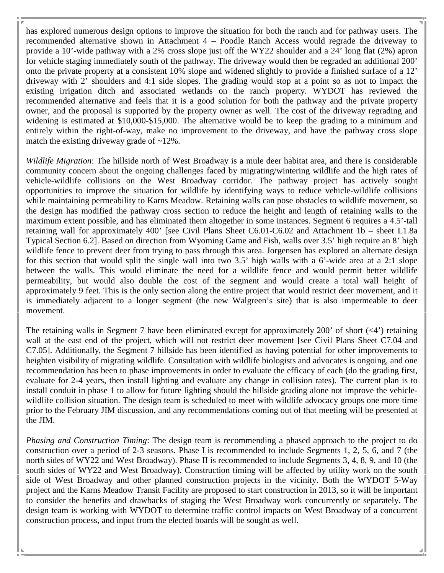has explored numerous design options to improve the situation for both the ranch and for pathway users. The recommended alternative shown in Attachment 4 – Poodle Ranch Access would regrade the driveway to provide a 10'-wide pathway with a 2% cross slope just off the WY22 shoulder and a 24' long flat (2%) apron for vehicle staging immediately south of the pathway. The driveway would then be regraded an additional 200' onto the private property at a consistent 10% slope and widened slightly to provide a finished surface of a 12' driveway with 2' shoulders and 4:1 side slopes. The grading would stop at a point so as not to impact the existing irrigation ditch and associated wetlands on the ranch property. WYDOT has reviewed the recommended alternative and feels that it is a good solution for both the pathway and the private property owner, and the proposal is supported by the property owner as well. The cost of the driveway regrading and widening is estimated at \$10,000-\$15,000. The alternative would be to keep the grading to a minimum and entirely within the right-of-way, make no improvement to the driveway, and have the pathway cross slope match the existing driveway grade of  $\sim$ 12%.

*Wildlife Migration*: The hillside north of West Broadway is a mule deer habitat area, and there is considerable community concern about the ongoing challenges faced by migrating/wintering wildlife and the high rates of vehicle-wildlife collisions on the West Broadway corridor. The pathway project has actively sought opportunities to improve the situation for wildlife by identifying ways to reduce vehicle-wildlife collisions while maintaining permeability to Karns Meadow. Retaining walls can pose obstacles to wildlife movement, so the design has modified the pathway cross section to reduce the height and length of retaining walls to the maximum extent possible, and has eliminated them altogether in some instances. Segment 6 requires a 4.5'-tall retaining wall for approximately 400' [see Civil Plans Sheet C6.01-C6.02 and Attachment 1b – sheet L1.8a Typical Section 6.2]. Based on direction from Wyoming Game and Fish, walls over 3.5' high require an 8' high wildlife fence to prevent deer from trying to pass through this area. Jorgensen has explored an alternate design for this section that would split the single wall into two 3.5' high walls with a 6'-wide area at a 2:1 slope between the walls. This would eliminate the need for a wildlife fence and would permit better wildlife permeability, but would also double the cost of the segment and would create a total wall height of approximately 9 feet. This is the only section along the entire project that would restrict deer movement, and it is immediately adjacent to a longer segment (the new Walgreen's site) that is also impermeable to deer movement.

The retaining walls in Segment 7 have been eliminated except for approximately 200' of short  $(\langle 4 \rangle)$  retaining wall at the east end of the project, which will not restrict deer movement [see Civil Plans Sheet C7.04 and C7.05]. Additionally, the Segment 7 hillside has been identified as having potential for other improvements to heighten visibility of migrating wildlife. Consultation with wildlife biologists and advocates is ongoing, and one recommendation has been to phase improvements in order to evaluate the efficacy of each (do the grading first, evaluate for 2-4 years, then install lighting and evaluate any change in collision rates). The current plan is to install conduit in phase 1 to allow for future lighting should the hillside grading alone not improve the vehiclewildlife collision situation. The design team is scheduled to meet with wildlife advocacy groups one more time prior to the February JIM discussion, and any recommendations coming out of that meeting will be presented at the JIM.

*Phasing and Construction Timing*: The design team is recommending a phased approach to the project to do construction over a period of 2-3 seasons. Phase I is recommended to include Segments 1, 2, 5, 6, and 7 (the north sides of WY22 and West Broadway). Phase II is recommended to include Segments 3, 4, 8, 9, and 10 (the south sides of WY22 and West Broadway). Construction timing will be affected by utility work on the south side of West Broadway and other planned construction projects in the vicinity. Both the WYDOT 5-Way project and the Karns Meadow Transit Facility are proposed to start construction in 2013, so it will be important to consider the benefits and drawbacks of staging the West Broadway work concurrently or separately. The design team is working with WYDOT to determine traffic control impacts on West Broadway of a concurrent construction process, and input from the elected boards will be sought as well.